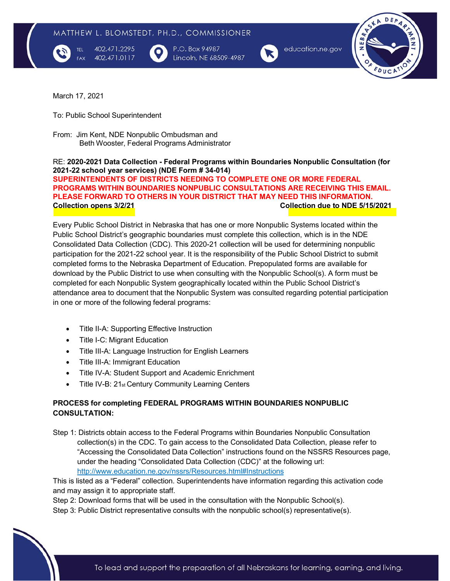

402.471.2295 402.471.0117 P.O. Box 94987 Lincoln, NE 68509-4987



education.ne.gov



March 17, 2021

To: Public School Superintendent

From: Jim Kent, NDE Nonpublic Ombudsman and Beth Wooster, Federal Programs Administrator

RE: **2020-2021 Data Collection - Federal Programs within Boundaries Nonpublic Consultation (for 2021-22 school year services) (NDE Form # 34-014) SUPERINTENDENTS OF DISTRICTS NEEDING TO COMPLETE ONE OR MORE FEDERAL PROGRAMS WITHIN BOUNDARIES NONPUBLIC CONSULTATIONS ARE RECEIVING THIS EMAIL. PLEASE FORWARD TO OTHERS IN YOUR DISTRICT THAT MAY NEED THIS INFORMATION. Collection opens 3/2/21 Collection due to NDE 5/15/2021**

Every Public School District in Nebraska that has one or more Nonpublic Systems located within the Public School District's geographic boundaries must complete this collection, which is in the NDE Consolidated Data Collection (CDC). This 2020-21 collection will be used for determining nonpublic participation for the 2021-22 school year. It is the responsibility of the Public School District to submit completed forms to the Nebraska Department of Education. Prepopulated forms are available for download by the Public District to use when consulting with the Nonpublic School(s). A form must be completed for each Nonpublic System geographically located within the Public School District's attendance area to document that the Nonpublic System was consulted regarding potential participation in one or more of the following federal programs:

- Title II-A: Supporting Effective Instruction
- Title I-C: Migrant Education
- Title III-A: Language Instruction for English Learners
- Title III-A: Immigrant Education
- Title IV-A: Student Support and Academic Enrichment
- Title IV-B: 21st Century Community Learning Centers

# **PROCESS for completing FEDERAL PROGRAMS WITHIN BOUNDARIES NONPUBLIC CONSULTATION:**

Step 1: Districts obtain access to the Federal Programs within Boundaries Nonpublic Consultation collection(s) in the CDC. To gain access to the Consolidated Data Collection, please refer to "Accessing the Consolidated Data Collection" instructions found on the NSSRS Resources page, under the heading "Consolidated Data Collection (CDC)" at the following url: <http://www.education.ne.gov/nssrs/Resources.html#Instructions>

This is listed as a "Federal" collection. Superintendents have information regarding this activation code and may assign it to appropriate staff.

Step 2: Download forms that will be used in the consultation with the Nonpublic School(s).

Step 3: Public District representative consults with the nonpublic school(s) representative(s).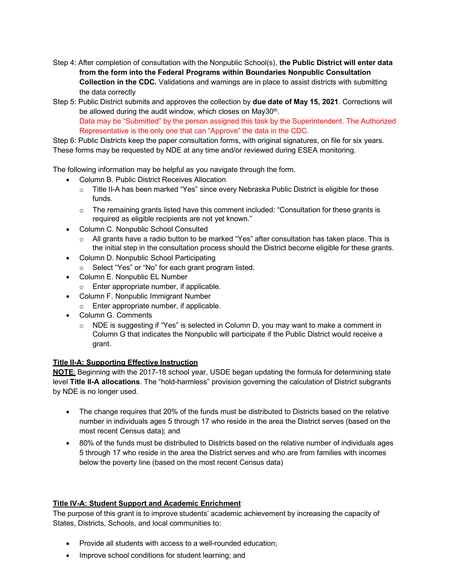- Step 4: After completion of consultation with the Nonpublic School(s), **the Public District will enter data from the form into the Federal Programs within Boundaries Nonpublic Consultation Collection in the CDC.** Validations and warnings are in place to assist districts with submitting the data correctly
- Step 5: Public District submits and approves the collection by **due date of May 15, 2021**. Corrections will be allowed during the audit window, which closes on May30<sup>th</sup>. Data may be "Submitted" by the person assigned this task by the Superintendent. The Authorized Representative is the only one that can "Approve" the data in the CDC.

Step 6: Public Districts keep the paper consultation forms, with original signatures, on file for six years. These forms may be requested by NDE at any time and/or reviewed during ESEA monitoring.

The following information may be helpful as you navigate through the form.

- Column B. Public District Receives Allocation
	- o Title II-A has been marked "Yes" since every Nebraska Public District is eligible for these funds.
	- o The remaining grants listed have this comment included: "Consultation for these grants is required as eligible recipients are not yet known."
- Column C. Nonpublic School Consulted
	- $\circ$  All grants have a radio button to be marked "Yes" after consultation has taken place. This is the initial step in the consultation process should the District become eligible for these grants.
- Column D. Nonpublic School Participating
	- o Select "Yes" or "No" for each grant program listed.
- Column E. Nonpublic EL Number
	- o Enter appropriate number, if applicable.
- Column F. Nonpublic Immigrant Number
	- o Enter appropriate number, if applicable.
- Column G. Comments
	- $\circ$  NDE is suggesting if "Yes" is selected in Column D, you may want to make a comment in Column G that indicates the Nonpublic will participate if the Public District would receive a grant.

### **Title II-A: Supporting Effective Instruction**

**NOTE**: Beginning with the 2017-18 school year, USDE began updating the formula for determining state level **Title II-A allocations**. The "hold-harmless" provision governing the calculation of District subgrants by NDE is no longer used.

- The change requires that 20% of the funds must be distributed to Districts based on the relative number in individuals ages 5 through 17 who reside in the area the District serves (based on the most recent Census data); and
- 80% of the funds must be distributed to Districts based on the relative number of individuals ages 5 through 17 who reside in the area the District serves and who are from families with incomes below the poverty line (based on the most recent Census data)

### **Title IV-A: Student Support and Academic Enrichment**

The purpose of this grant is to improve students' academic achievement by increasing the capacity of States, Districts, Schools, and local communities to:

- Provide all students with access to a well-rounded education;
- Improve school conditions for student learning; and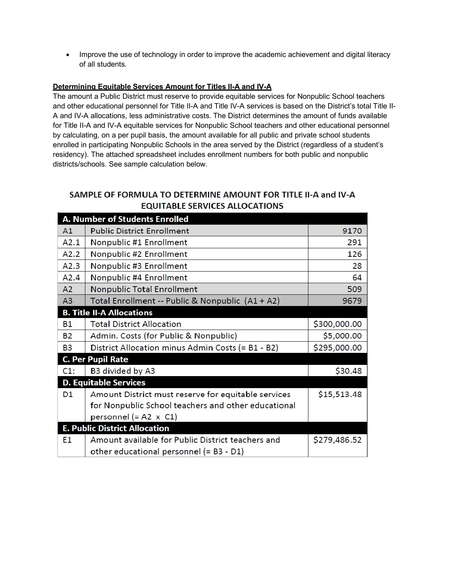• Improve the use of technology in order to improve the academic achievement and digital literacy of all students.

# **Determining Equitable Services Amount for Titles II-A and IV-A**

The amount a Public District must reserve to provide equitable services for Nonpublic School teachers and other educational personnel for Title II-A and Title IV-A services is based on the District's total Title II-A and IV-A allocations, less administrative costs. The District determines the amount of funds available for Title II-A and IV-A equitable services for Nonpublic School teachers and other educational personnel by calculating, on a per pupil basis, the amount available for all public and private school students enrolled in participating Nonpublic Schools in the area served by the District (regardless of a student's residency). The attached spreadsheet includes enrollment numbers for both public and nonpublic districts/schools. See sample calculation below.

# SAMPLE OF FORMULA TO DETERMINE AMOUNT FOR TITLE II-A and IV-A **EQUITABLE SERVICES ALLOCATIONS**

| A. Number of Students Enrolled       |                                                     |              |
|--------------------------------------|-----------------------------------------------------|--------------|
| A1                                   | <b>Public District Enrollment</b>                   | 9170         |
| A2.1                                 | Nonpublic #1 Enrollment                             | 291          |
| A2.2                                 | Nonpublic #2 Enrollment                             | 126          |
| A2.3                                 | Nonpublic #3 Enrollment                             | 28           |
| A2.4                                 | Nonpublic #4 Enrollment                             | 64           |
| A2                                   | <b>Nonpublic Total Enrollment</b>                   | 509          |
| A3                                   | Total Enrollment -- Public & Nonpublic (A1 + A2)    | 9679         |
| <b>B. Title II-A Allocations</b>     |                                                     |              |
| <b>B1</b>                            | <b>Total District Allocation</b>                    | \$300,000.00 |
| <b>B2</b>                            | Admin. Costs (for Public & Nonpublic)               | \$5,000.00   |
| <b>B3</b>                            | District Allocation minus Admin Costs (= B1 - B2)   | \$295,000.00 |
|                                      | <b>C. Per Pupil Rate</b>                            |              |
| C1:                                  | B3 divided by A3                                    | \$30.48      |
| <b>D. Equitable Services</b>         |                                                     |              |
| D <sub>1</sub>                       | Amount District must reserve for equitable services | \$15,513.48  |
|                                      | for Nonpublic School teachers and other educational |              |
|                                      | personnel (= A2 $\times$ C1)                        |              |
| <b>E. Public District Allocation</b> |                                                     |              |
| E <sub>1</sub>                       | Amount available for Public District teachers and   | \$279,486.52 |
|                                      | other educational personnel (= B3 - D1)             |              |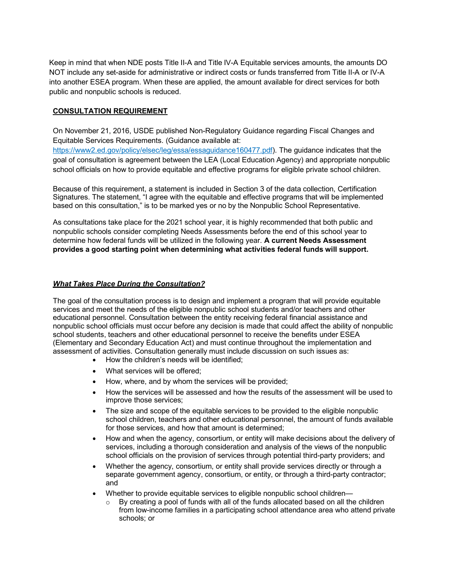Keep in mind that when NDE posts Title II-A and Title IV-A Equitable services amounts, the amounts DO NOT include any set-aside for administrative or indirect costs or funds transferred from Title II-A or IV-A into another ESEA program. When these are applied, the amount available for direct services for both public and nonpublic schools is reduced.

## **CONSULTATION REQUIREMENT**

On November 21, 2016, USDE published Non-Regulatory Guidance regarding Fiscal Changes and Equitable Services Requirements. (Guidance available at:

https://www2.ed.gov/policy/elsec/leg/essa/essaguidance160477.pdf). The guidance indicates that the goal of consultation is agreement between the LEA (Local Education Agency) and appropriate nonpublic school officials on how to provide equitable and effective programs for eligible private school children.

Because of this requirement, a statement is included in Section 3 of the data collection, Certification Signatures. The statement, "I agree with the equitable and effective programs that will be implemented based on this consultation," is to be marked yes or no by the Nonpublic School Representative.

As consultations take place for the 2021 school year, it is highly recommended that both public and nonpublic schools consider completing Needs Assessments before the end of this school year to determine how federal funds will be utilized in the following year. **A current Needs Assessment provides a good starting point when determining what activities federal funds will support.**

## *What Takes Place During the Consultation?*

The goal of the consultation process is to design and implement a program that will provide equitable services and meet the needs of the eligible nonpublic school students and/or teachers and other educational personnel. Consultation between the entity receiving federal financial assistance and nonpublic school officials must occur before any decision is made that could affect the ability of nonpublic school students, teachers and other educational personnel to receive the benefits under ESEA (Elementary and Secondary Education Act) and must continue throughout the implementation and assessment of activities. Consultation generally must include discussion on such issues as:

- How the children's needs will be identified;
- What services will be offered;
- How, where, and by whom the services will be provided;
- How the services will be assessed and how the results of the assessment will be used to improve those services;
- The size and scope of the equitable services to be provided to the eligible nonpublic school children, teachers and other educational personnel, the amount of funds available for those services, and how that amount is determined;
- How and when the agency, consortium, or entity will make decisions about the delivery of services, including a thorough consideration and analysis of the views of the nonpublic school officials on the provision of services through potential third-party providers; and
- Whether the agency, consortium, or entity shall provide services directly or through a separate government agency, consortium, or entity, or through a third-party contractor; and
- Whether to provide equitable services to eligible nonpublic school children—
	- $\circ$  By creating a pool of funds with all of the funds allocated based on all the children from low-income families in a participating school attendance area who attend private schools; or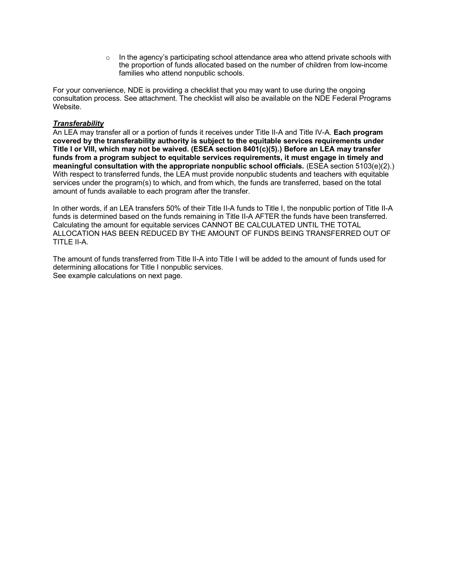o In the agency's participating school attendance area who attend private schools with the proportion of funds allocated based on the number of children from low-income families who attend nonpublic schools.

For your convenience, NDE is providing a checklist that you may want to use during the ongoing consultation process. See attachment. The checklist will also be available on the NDE Federal Programs Website.

### *Transferability*

An LEA may transfer all or a portion of funds it receives under Title II-A and Title IV-A. **Each program covered by the transferability authority is subject to the equitable services requirements under Title I or VIII, which may not be waived. (ESEA section 8401(c)(5).) Before an LEA may transfer funds from a program subject to equitable services requirements, it must engage in timely and meaningful consultation with the appropriate nonpublic school officials.** (ESEA section 5103(e)(2).) With respect to transferred funds, the LEA must provide nonpublic students and teachers with equitable services under the program(s) to which, and from which, the funds are transferred, based on the total amount of funds available to each program after the transfer.

In other words, if an LEA transfers 50% of their Title II-A funds to Title I, the nonpublic portion of Title II-A funds is determined based on the funds remaining in Title II-A AFTER the funds have been transferred. Calculating the amount for equitable services CANNOT BE CALCULATED UNTIL THE TOTAL ALLOCATION HAS BEEN REDUCED BY THE AMOUNT OF FUNDS BEING TRANSFERRED OUT OF TITLE II-A.

The amount of funds transferred from Title II-A into Title I will be added to the amount of funds used for determining allocations for Title I nonpublic services. See example calculations on next page.